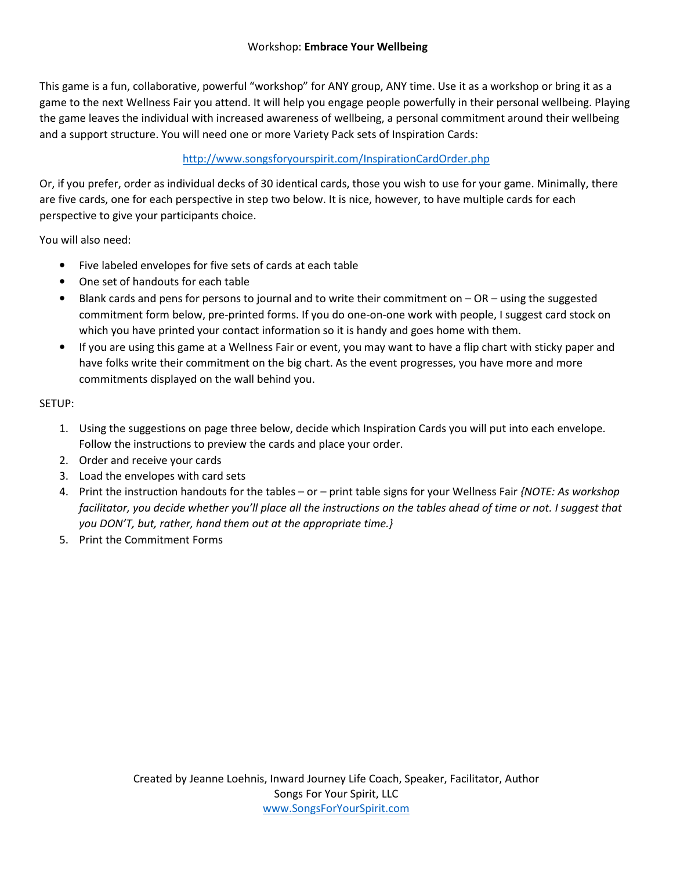This game is a fun, collaborative, powerful "workshop" for ANY group, ANY time. Use it as a workshop or bring it as a game to the next Wellness Fair you attend. It will help you engage people powerfully in their personal wellbeing. Playing the game leaves the individual with increased awareness of wellbeing, a personal commitment around their wellbeing and a support structure. You will need one or more Variety Pack sets of Inspiration Cards:

#### http://www.songsforyourspirit.com/InspirationCardOrder.php

Or, if you prefer, order as individual decks of 30 identical cards, those you wish to use for your game. Minimally, there are five cards, one for each perspective in step two below. It is nice, however, to have multiple cards for each perspective to give your participants choice.

You will also need:

- Five labeled envelopes for five sets of cards at each table
- One set of handouts for each table
- Blank cards and pens for persons to journal and to write their commitment on  $-$  OR  $-$  using the suggested commitment form below, pre-printed forms. If you do one-on-one work with people, I suggest card stock on which you have printed your contact information so it is handy and goes home with them.
- If you are using this game at a Wellness Fair or event, you may want to have a flip chart with sticky paper and have folks write their commitment on the big chart. As the event progresses, you have more and more commitments displayed on the wall behind you.

SETUP:

- 1. Using the suggestions on page three below, decide which Inspiration Cards you will put into each envelope. Follow the instructions to preview the cards and place your order.
- 2. Order and receive your cards
- 3. Load the envelopes with card sets
- 4. Print the instruction handouts for the tables or print table signs for your Wellness Fair *{NOTE: As workshop facilitator, you decide whether you'll place all the instructions on the tables ahead of time or not. I suggest that you DON'T, but, rather, hand them out at the appropriate time.}*
- 5. Print the Commitment Forms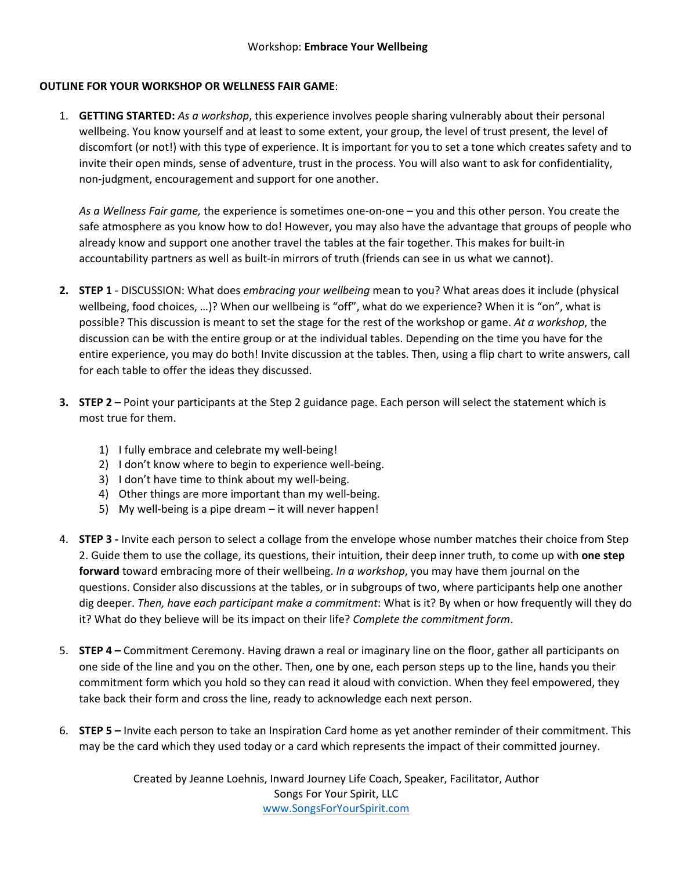#### **OUTLINE FOR YOUR WORKSHOP OR WELLNESS FAIR GAME**:

1. **GETTING STARTED:** *As a workshop*, this experience involves people sharing vulnerably about their personal wellbeing. You know yourself and at least to some extent, your group, the level of trust present, the level of discomfort (or not!) with this type of experience. It is important for you to set a tone which creates safety and to invite their open minds, sense of adventure, trust in the process. You will also want to ask for confidentiality, non-judgment, encouragement and support for one another.

*As a Wellness Fair game,* the experience is sometimes one-on-one – you and this other person. You create the safe atmosphere as you know how to do! However, you may also have the advantage that groups of people who already know and support one another travel the tables at the fair together. This makes for built-in accountability partners as well as built-in mirrors of truth (friends can see in us what we cannot).

- **2. STEP 1**  DISCUSSION: What does *embracing your wellbeing* mean to you? What areas does it include (physical wellbeing, food choices, ...)? When our wellbeing is "off", what do we experience? When it is "on", what is possible? This discussion is meant to set the stage for the rest of the workshop or game. *At a workshop*, the discussion can be with the entire group or at the individual tables. Depending on the time you have for the entire experience, you may do both! Invite discussion at the tables. Then, using a flip chart to write answers, call for each table to offer the ideas they discussed.
- **3. STEP 2** Point your participants at the Step 2 guidance page. Each person will select the statement which is most true for them.
	- 1) I fully embrace and celebrate my well-being!
	- 2) I don't know where to begin to experience well-being.
	- 3) I don't have time to think about my well-being.
	- 4) Other things are more important than my well-being.
	- 5) My well-being is a pipe dream it will never happen!
- 4. **STEP 3** Invite each person to select a collage from the envelope whose number matches their choice from Step 2. Guide them to use the collage, its questions, their intuition, their deep inner truth, to come up with **one step forward** toward embracing more of their wellbeing. *In a workshop*, you may have them journal on the questions. Consider also discussions at the tables, or in subgroups of two, where participants help one another dig deeper. *Then, have each participant make a commitment*: What is it? By when or how frequently will they do it? What do they believe will be its impact on their life? *Complete the commitment form*.
- 5. **STEP 4** Commitment Ceremony. Having drawn a real or imaginary line on the floor, gather all participants on one side of the line and you on the other. Then, one by one, each person steps up to the line, hands you their commitment form which you hold so they can read it aloud with conviction. When they feel empowered, they take back their form and cross the line, ready to acknowledge each next person.
- 6. **STEP 5** Invite each person to take an Inspiration Card home as yet another reminder of their commitment. This may be the card which they used today or a card which represents the impact of their committed journey.

Created by Jeanne Loehnis, Inward Journey Life Coach, Speaker, Facilitator, Author Songs For Your Spirit, LLC www.SongsForYourSpirit.com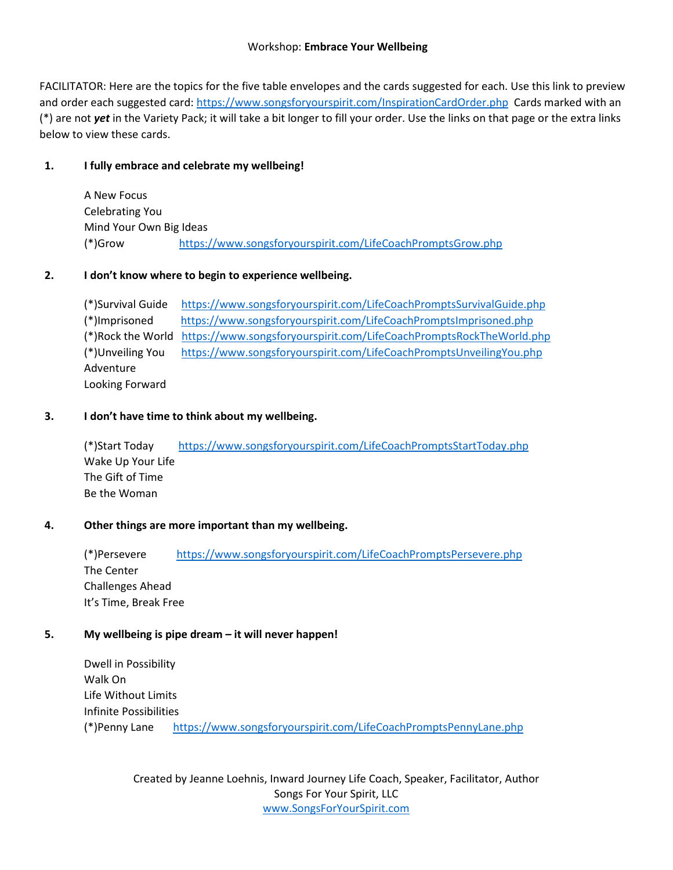#### Workshop: **Embrace Your Wellbeing**

FACILITATOR: Here are the topics for the five table envelopes and the cards suggested for each. Use this link to preview and order each suggested card: https://www.songsforyourspirit.com/InspirationCardOrder.php Cards marked with an (\*) are not *yet* in the Variety Pack; it will take a bit longer to fill your order. Use the links on that page or the extra links below to view these cards.

#### **1. I fully embrace and celebrate my wellbeing!**

A New Focus Celebrating You Mind Your Own Big Ideas (\*)Grow https://www.songsforyourspirit.com/LifeCoachPromptsGrow.php

#### **2. I don't know where to begin to experience wellbeing.**

(\*)Survival Guide https://www.songsforyourspirit.com/LifeCoachPromptsSurvivalGuide.php (\*)Imprisoned https://www.songsforyourspirit.com/LifeCoachPromptsImprisoned.php (\*)Rock the World https://www.songsforyourspirit.com/LifeCoachPromptsRockTheWorld.php (\*)Unveiling You https://www.songsforyourspirit.com/LifeCoachPromptsUnveilingYou.php Adventure Looking Forward

#### **3. I don't have time to think about my wellbeing.**

(\*)Start Today https://www.songsforyourspirit.com/LifeCoachPromptsStartToday.php Wake Up Your Life The Gift of Time Be the Woman

#### **4. Other things are more important than my wellbeing.**

(\*)Persevere https://www.songsforyourspirit.com/LifeCoachPromptsPersevere.php The Center Challenges Ahead It's Time, Break Free

#### **5. My wellbeing is pipe dream – it will never happen!**

Dwell in Possibility Walk On Life Without Limits Infinite Possibilities (\*)Penny Lane https://www.songsforyourspirit.com/LifeCoachPromptsPennyLane.php

> Created by Jeanne Loehnis, Inward Journey Life Coach, Speaker, Facilitator, Author Songs For Your Spirit, LLC www.SongsForYourSpirit.com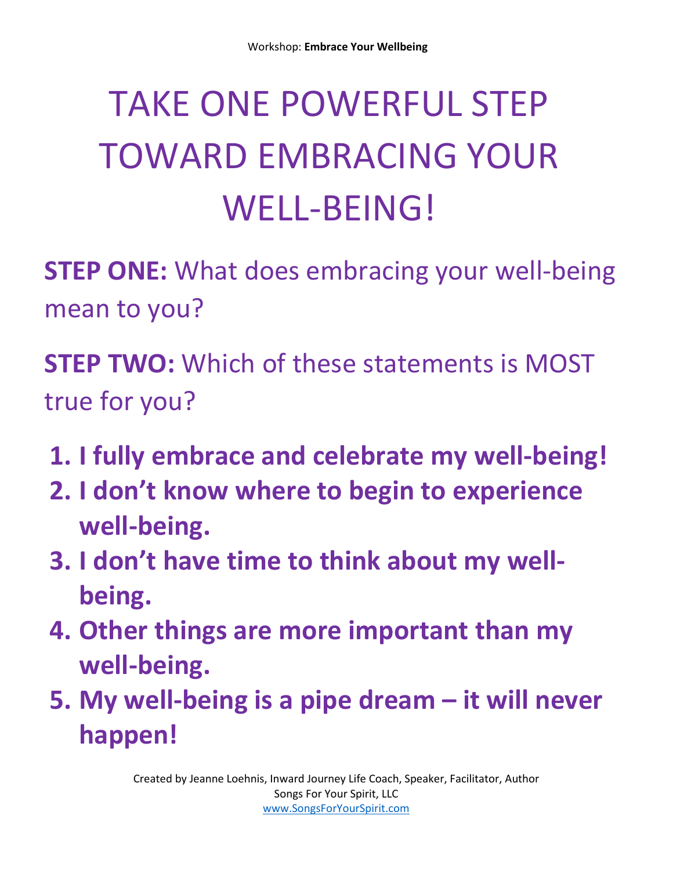# TAKE ONE POWERFUL STEP TOWARD EMBRACING YOUR WELL-BEING!

**STEP ONE:** What does embracing your well-being mean to you?

**STEP TWO:** Which of these statements is MOST true for you?

- **1. I fully embrace and celebrate my well-being!**
- **2. I don't know where to begin to experience well-being.**
- **3. I don't have time to think about my wellbeing.**
- **4. Other things are more important than my well-being.**
- **5. My well-being is a pipe dream it will never happen!**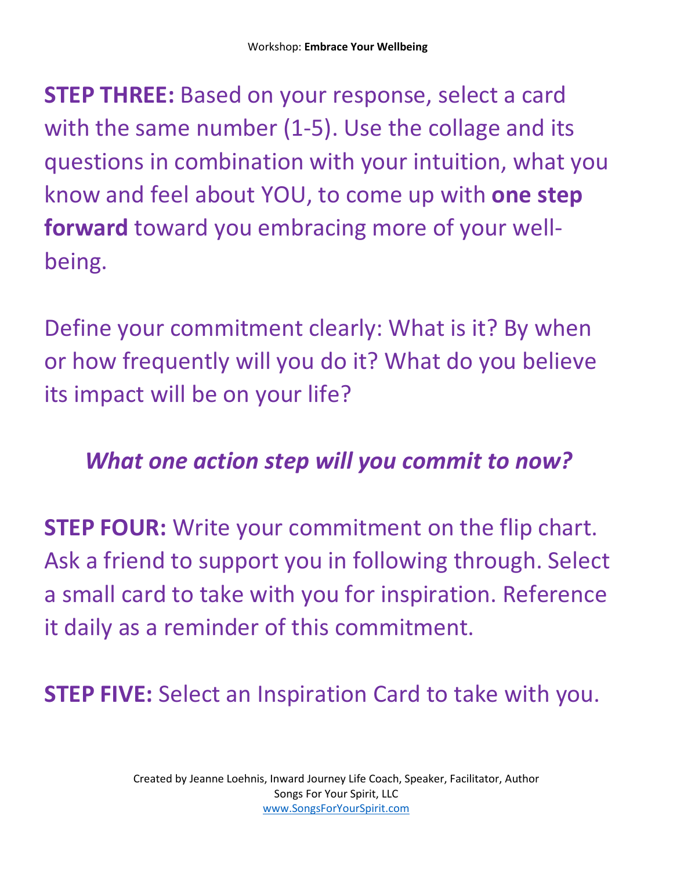**STEP THREE:** Based on your response, select a card with the same number (1-5). Use the collage and its questions in combination with your intuition, what you know and feel about YOU, to come up with **one step forward** toward you embracing more of your wellbeing.

Define your commitment clearly: What is it? By when or how frequently will you do it? What do you believe its impact will be on your life?

### *What one action step will you commit to now?*

**STEP FOUR:** Write your commitment on the flip chart. Ask a friend to support you in following through. Select a small card to take with you for inspiration. Reference it daily as a reminder of this commitment.

**STEP FIVE:** Select an Inspiration Card to take with you.